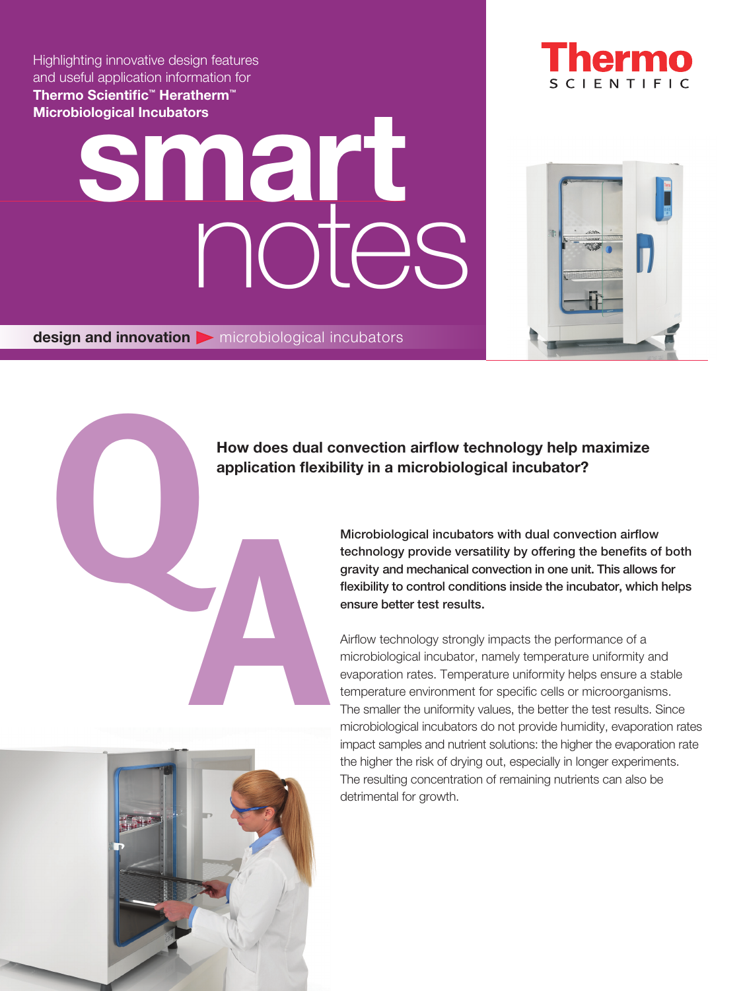Thermo Scientific<sup>™</sup> Heratherm<sup>™</sup> Microbiological Incubators Highlighting innovative design features and useful application information for

## notes production and the contractors of the contractors of the contractors of the contractors of the contractors of the contractors of the contractors of the contractors of the contractors of the contractors of the contractors o

 $design$  and innovation  $\triangleright$  microbiological incubators

### **CIENTIFIC**



# How does dual<br>application flexi<br>application flexi<br>application flexi<br>application flexi<br>application flexi<br>application flexi<br>application flexi<br>application flexi<br>application flexi<br>application flexi<br>application flexi<br>applicatio How does dual convection airflow technology help maximize application flexibility in a microbiological incubator?

Microbiological incubators with dual convection airflow technology provide versatility by offering the benefits of both gravity and mechanical convection in one unit. This allows for flexibility to control conditions inside the incubator, which helps ensure better test results.

Airflow technology strongly impacts the performance of a microbiological incubator, namely temperature uniformity and evaporation rates. Temperature uniformity helps ensure a stable temperature environment for specific cells or microorganisms. The smaller the uniformity values, the better the test results. Since microbiological incubators do not provide humidity, evaporation rates impact samples and nutrient solutions: the higher the evaporation rate the higher the risk of drying out, especially in longer experiments. The resulting concentration of remaining nutrients can also be detrimental for growth.